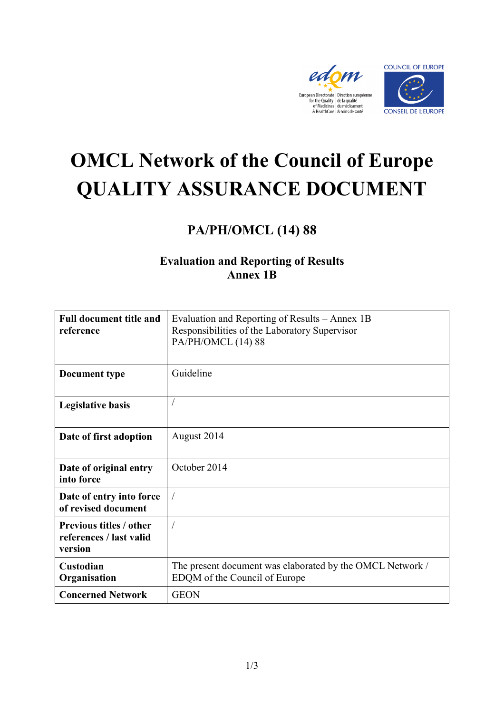



# **OMCL Network of the Council of Europe QUALITY ASSURANCE DOCUMENT**

## **PA/PH/OMCL (14) 88**

### **Evaluation and Reporting of Results Annex 1B**

| <b>Full document title and</b><br>reference                          | Evaluation and Reporting of Results – Annex 1B<br>Responsibilities of the Laboratory Supervisor<br>PA/PH/OMCL (14) 88 |
|----------------------------------------------------------------------|-----------------------------------------------------------------------------------------------------------------------|
| Document type                                                        | Guideline                                                                                                             |
| <b>Legislative basis</b>                                             |                                                                                                                       |
| Date of first adoption                                               | August 2014                                                                                                           |
| Date of original entry<br>into force                                 | October 2014                                                                                                          |
| Date of entry into force<br>of revised document                      |                                                                                                                       |
| <b>Previous titles / other</b><br>references / last valid<br>version | $\overline{1}$                                                                                                        |
| Custodian<br>Organisation                                            | The present document was elaborated by the OMCL Network /<br>EDQM of the Council of Europe                            |
| <b>Concerned Network</b>                                             | <b>GEON</b>                                                                                                           |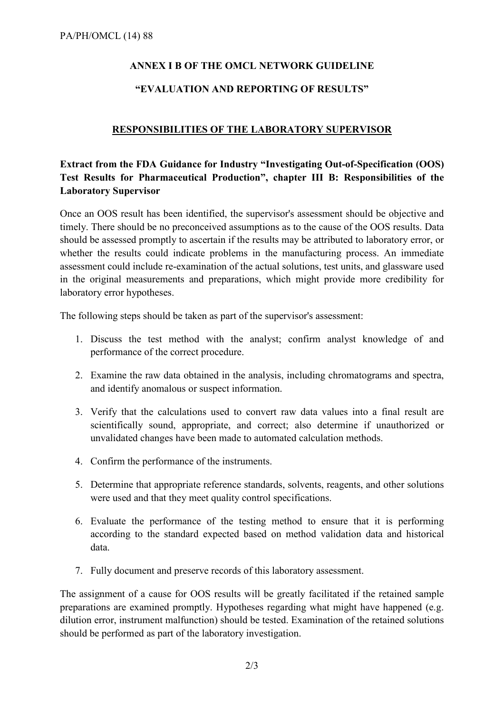#### **ANNEX I B OF THE OMCL NETWORK GUIDELINE**

#### **"EVALUATION AND REPORTING OF RESULTS"**

#### **RESPONSIBILITIES OF THE LABORATORY SUPERVISOR**

#### **Extract from the FDA Guidance for Industry "Investigating Out-of-Specification (OOS) Test Results for Pharmaceutical Production", chapter III B: Responsibilities of the Laboratory Supervisor**

Once an OOS result has been identified, the supervisor's assessment should be objective and timely. There should be no preconceived assumptions as to the cause of the OOS results. Data should be assessed promptly to ascertain if the results may be attributed to laboratory error, or whether the results could indicate problems in the manufacturing process. An immediate assessment could include re-examination of the actual solutions, test units, and glassware used in the original measurements and preparations, which might provide more credibility for laboratory error hypotheses.

The following steps should be taken as part of the supervisor's assessment:

- 1. Discuss the test method with the analyst; confirm analyst knowledge of and performance of the correct procedure.
- 2. Examine the raw data obtained in the analysis, including chromatograms and spectra, and identify anomalous or suspect information.
- 3. Verify that the calculations used to convert raw data values into a final result are scientifically sound, appropriate, and correct; also determine if unauthorized or unvalidated changes have been made to automated calculation methods.
- 4. Confirm the performance of the instruments.
- 5. Determine that appropriate reference standards, solvents, reagents, and other solutions were used and that they meet quality control specifications.
- 6. Evaluate the performance of the testing method to ensure that it is performing according to the standard expected based on method validation data and historical data.
- 7. Fully document and preserve records of this laboratory assessment.

The assignment of a cause for OOS results will be greatly facilitated if the retained sample preparations are examined promptly. Hypotheses regarding what might have happened (e.g. dilution error, instrument malfunction) should be tested. Examination of the retained solutions should be performed as part of the laboratory investigation.